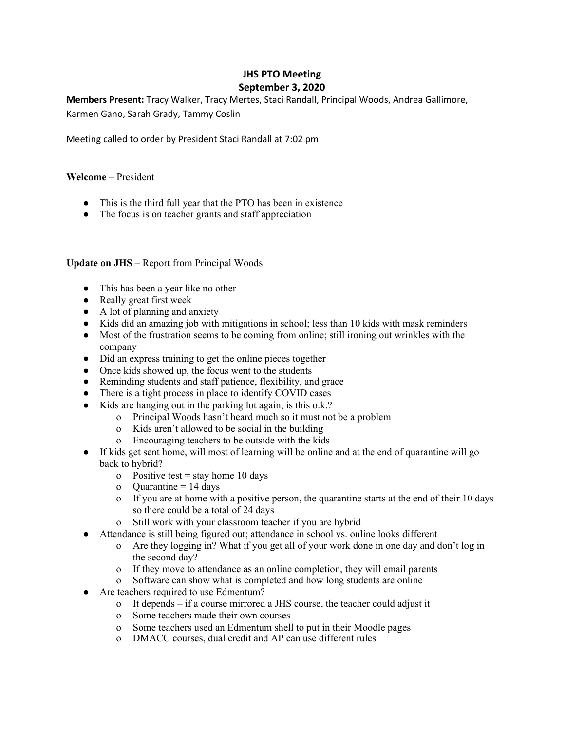# **JHS PTO Meeting September 3, 2020**

**Members Present:** Tracy Walker, Tracy Mertes, Staci Randall, Principal Woods, Andrea Gallimore, Karmen Gano, Sarah Grady, Tammy Coslin

Meeting called to order by President Staci Randall at 7:02 pm

## **Welcome** – President

- This is the third full year that the PTO has been in existence
- The focus is on teacher grants and staff appreciation

## **Update on JHS** – Report from Principal Woods

- This has been a year like no other
- Really great first week
- A lot of planning and anxiety
- Kids did an amazing job with mitigations in school; less than 10 kids with mask reminders
- Most of the frustration seems to be coming from online; still ironing out wrinkles with the company
- Did an express training to get the online pieces together
- Once kids showed up, the focus went to the students
- Reminding students and staff patience, flexibility, and grace
- There is a tight process in place to identify COVID cases
- Kids are hanging out in the parking lot again, is this o.k.?
	- o Principal Woods hasn't heard much so it must not be a problem
	- o Kids aren't allowed to be social in the building
	- o Encouraging teachers to be outside with the kids
- If kids get sent home, will most of learning will be online and at the end of quarantine will go back to hybrid?
	- o Positive test = stay home 10 days
	- o Quarantine  $= 14$  days
	- o If you are at home with a positive person, the quarantine starts at the end of their 10 days so there could be a total of 24 days
	- o Still work with your classroom teacher if you are hybrid
- Attendance is still being figured out; attendance in school vs. online looks different
	- o Are they logging in? What if you get all of your work done in one day and don't log in the second day?
	- o If they move to attendance as an online completion, they will email parents
	- o Software can show what is completed and how long students are online
- Are teachers required to use Edmentum?
	- o It depends if a course mirrored a JHS course, the teacher could adjust it
	- o Some teachers made their own courses
	- o Some teachers used an Edmentum shell to put in their Moodle pages
	- o DMACC courses, dual credit and AP can use different rules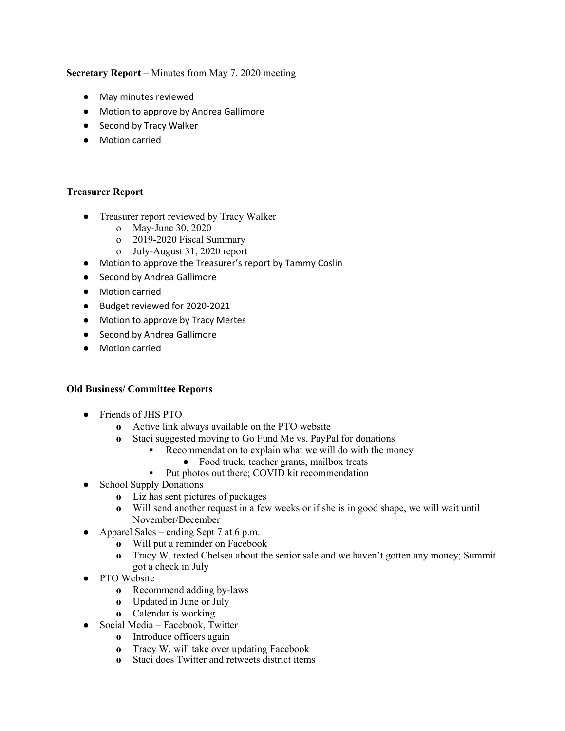**Secretary Report** – Minutes from May 7, 2020 meeting

- May minutes reviewed
- Motion to approve by Andrea Gallimore
- Second by Tracy Walker
- Motion carried

#### **Treasurer Report**

- Treasurer report reviewed by Tracy Walker
	- o May-June 30, 2020
	- o 2019-2020 Fiscal Summary
	- o July-August 31, 2020 report
- Motion to approve the Treasurer's report by Tammy Coslin
- Second by Andrea Gallimore
- Motion carried
- Budget reviewed for 2020-2021
- Motion to approve by Tracy Mertes
- Second by Andrea Gallimore
- Motion carried

#### **Old Business/ Committee Reports**

- **●** Friends of JHS PTO
	- **o** Active link always available on the PTO website
	- **o** Staci suggested moving to Go Fund Me vs. PayPal for donations
		- Recommendation to explain what we will do with the money
			- **●** Food truck, teacher grants, mailbox treats
			- Put photos out there; COVID kit recommendation
- **●** School Supply Donations
	- **o** Liz has sent pictures of packages
	- **o** Will send another request in a few weeks or if she is in good shape, we will wait until November/December
- Apparel Sales ending Sept 7 at 6 p.m.
	- **o** Will put a reminder on Facebook
		- **o** Tracy W. texted Chelsea about the senior sale and we haven't gotten any money; Summit got a check in July
- **●** PTO Website
	- **o** Recommend adding by-laws
	- **o** Updated in June or July
	- **o** Calendar is working
- **●** Social Media Facebook, Twitter
	- **o** Introduce officers again
	- **o** Tracy W. will take over updating Facebook
	- **o** Staci does Twitter and retweets district items